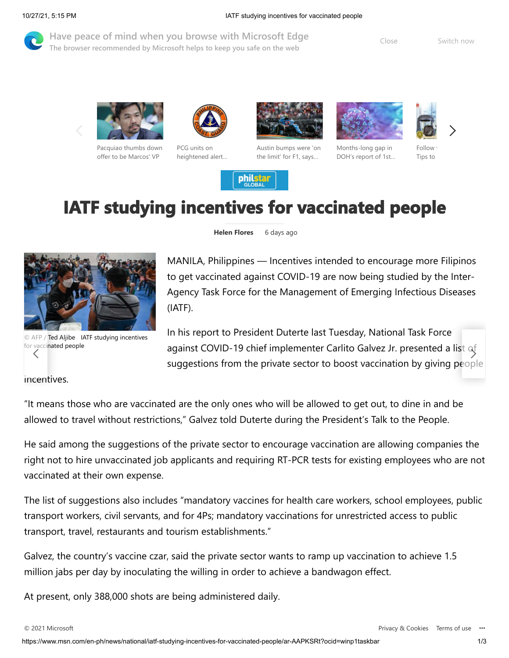[Have peace of mind when you browse with Microsoft Edge](microsoft-edge:https://ntp.msn.com/edge/ntp?form=MY01OL&OCID=MY01OL&locale=en-ph&displaytou=1&brand=M010) **Example 20** Close **The browser recommended by Microsoft helps to keep you safe on the web**



[Pacquiao thumbs down](https://www.msn.com/en-ph/news/national/pacquiao-thumbs-down-offer-to-be-marcos-vp/ar-AAQ05M2) offer to be Marcos' VP



PCG units on [heightened alert…](https://www.msn.com/en-ph/news/national/pcg-units-on-heightened-alert-ahead-of-undas-2021/ar-AAQ026o)



[Austin bumps were 'on](https://www.msn.com/en-ph/sports/motorsports/austin-bumps-were-on-the-limit-for-f1-says-ocon/ar-AAQ0dzq) the limit' for F1, says…





Months-long gap in [DOH's report of 1st…](https://www.msn.com/en-ph/news/national/months-long-gap-in-doh-s-report-of-1st-b-1-1-318-variant-case-scrutinized/ar-AAQ05OY)

Follow Tips to

## **IATF studying incentives for vaccinated people**

philstar



**Helen Flores** 6 days ago

MANILA, Philippines — Incentives intended to encourage more Filipinos to get vaccinated against COVID-19 are now being studied by the Inter-Agency Task Force for the Management of Emerging Infectious Diseases (IATF).

In his report to President Duterte last Tuesday, National Task Force vaccinated people **against COVID-19 chief implementer Carlito Galvez Jr. presented a list of** suggestions from the private sector to boost vaccination by giving p[eople](https://www.msn.com/en-ph/news/national/pcg-units-on-heightened-alert-ahead-of-undas-2021/ar-AAQ026o)

[incent](https://www.msn.com/en-ph/news/national/pacquiao-thumbs-down-offer-to-be-marcos-vp/ar-AAQ05M2)ives.

for vaccinated people

"It means those who are vaccinated are the only ones who will be allowed to get out, to dine in and be allowed to travel without restrictions," Galvez told Duterte during the President's Talk to the People.

He said among the suggestions of the private sector to encourage vaccination are allowing companies the right not to hire unvaccinated job applicants and requiring RT-PCR tests for existing employees who are not vaccinated at their own expense.

The list of suggestions also includes "mandatory vaccines for health care workers, school employees, public transport workers, civil servants, and for 4Ps; mandatory vaccinations for unrestricted access to public transport, travel, restaurants and tourism establishments."

Galvez, the country's vaccine czar, said the private sector wants to ramp up vaccination to achieve 1.5 million jabs per day by inoculating the willing in order to achieve a bandwagon effect.

At present, only 388,000 shots are being administered daily.